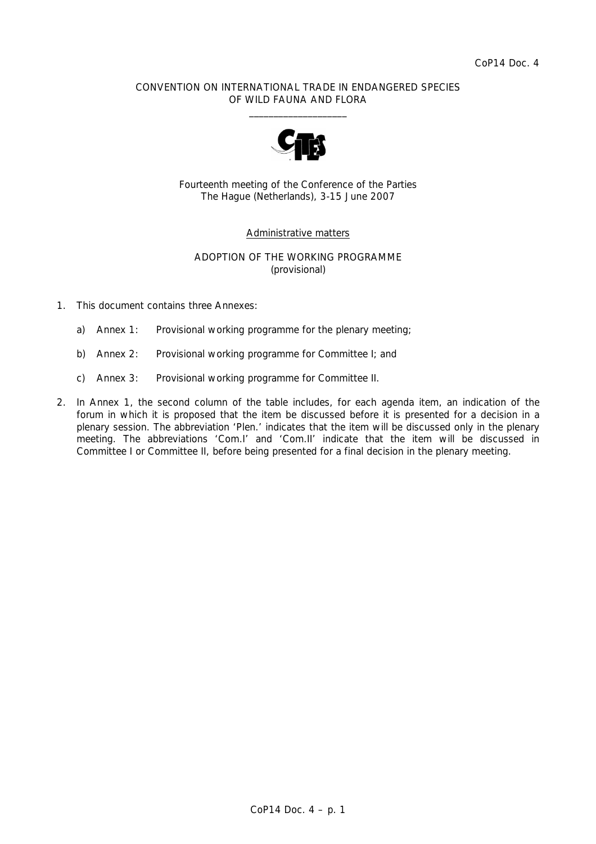#### CONVENTION ON INTERNATIONAL TRADE IN ENDANGERED SPECIES OF WILD FAUNA AND FLORA  $\frac{1}{2}$  , and the set of the set of the set of the set of the set of the set of the set of the set of the set of the set of the set of the set of the set of the set of the set of the set of the set of the set of the set



Fourteenth meeting of the Conference of the Parties The Hague (Netherlands), 3-15 June 2007

#### Administrative matters

#### ADOPTION OF THE WORKING PROGRAMME (provisional)

- 1. This document contains three Annexes:
	- a) Annex 1: Provisional working programme for the plenary meeting;
	- b) Annex 2: Provisional working programme for Committee I; and
	- c) Annex 3: Provisional working programme for Committee II.
- 2. In Annex 1, the second column of the table includes, for each agenda item, an indication of the forum in which it is proposed that the item be discussed before it is presented for a decision in a plenary session. The abbreviation 'Plen.' indicates that the item will be discussed only in the plenary meeting. The abbreviations 'Com.I' and 'Com.II' indicate that the item will be discussed in Committee I or Committee II, before being presented for a final decision in the plenary meeting.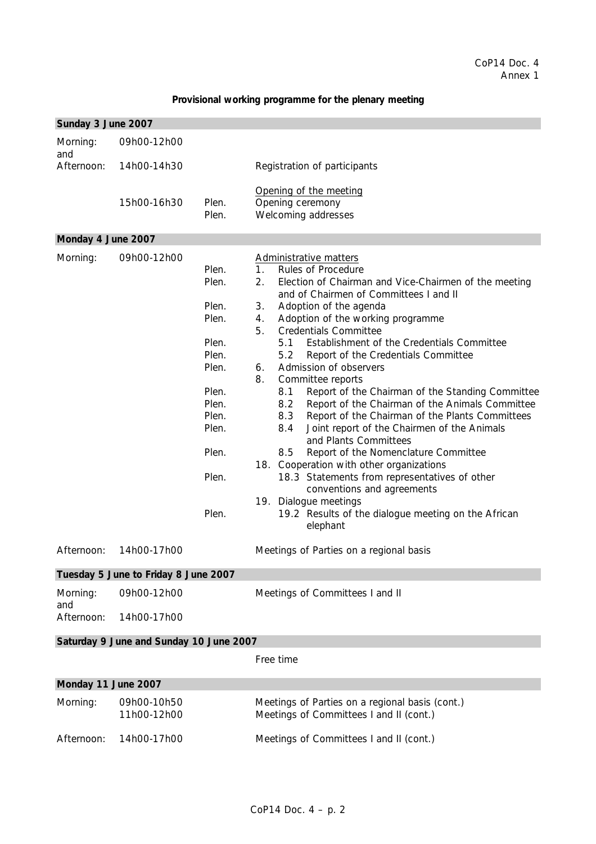## **Provisional working programme for the plenary meeting**

| Sunday 3 June 2007  |                                         |                                                                                                                            |                                                                                                                                                                                                                                                                                                                                                                                                                                                                                                                                                                                                                                                                                                                                                                                                                                                                                                                                                                                            |
|---------------------|-----------------------------------------|----------------------------------------------------------------------------------------------------------------------------|--------------------------------------------------------------------------------------------------------------------------------------------------------------------------------------------------------------------------------------------------------------------------------------------------------------------------------------------------------------------------------------------------------------------------------------------------------------------------------------------------------------------------------------------------------------------------------------------------------------------------------------------------------------------------------------------------------------------------------------------------------------------------------------------------------------------------------------------------------------------------------------------------------------------------------------------------------------------------------------------|
| Morning:<br>and     | 09h00-12h00                             |                                                                                                                            |                                                                                                                                                                                                                                                                                                                                                                                                                                                                                                                                                                                                                                                                                                                                                                                                                                                                                                                                                                                            |
| Afternoon:          | 14h00-14h30                             |                                                                                                                            | Registration of participants                                                                                                                                                                                                                                                                                                                                                                                                                                                                                                                                                                                                                                                                                                                                                                                                                                                                                                                                                               |
|                     | 15h00-16h30                             | Plen.<br>Plen.                                                                                                             | Opening of the meeting<br>Opening ceremony<br>Welcoming addresses                                                                                                                                                                                                                                                                                                                                                                                                                                                                                                                                                                                                                                                                                                                                                                                                                                                                                                                          |
| Monday 4 June 2007  |                                         |                                                                                                                            |                                                                                                                                                                                                                                                                                                                                                                                                                                                                                                                                                                                                                                                                                                                                                                                                                                                                                                                                                                                            |
| Morning:            | 09h00-12h00                             | Plen.<br>Plen.<br>Plen.<br>Plen.<br>Plen.<br>Plen.<br>Plen.<br>Plen.<br>Plen.<br>Plen.<br>Plen.<br>Plen.<br>Plen.<br>Plen. | Administrative matters<br>1 <sub>1</sub><br>Rules of Procedure<br>2.<br>Election of Chairman and Vice-Chairmen of the meeting<br>and of Chairmen of Committees I and II<br>3.<br>Adoption of the agenda<br>4.<br>Adoption of the working programme<br>5.<br><b>Credentials Committee</b><br>5.1<br>Establishment of the Credentials Committee<br>5.2<br>Report of the Credentials Committee<br>Admission of observers<br>6.<br>8.<br>Committee reports<br>Report of the Chairman of the Standing Committee<br>8.1<br>8.2<br>Report of the Chairman of the Animals Committee<br>Report of the Chairman of the Plants Committees<br>8.3<br>8.4<br>Joint report of the Chairmen of the Animals<br>and Plants Committees<br>8.5<br>Report of the Nomenclature Committee<br>18. Cooperation with other organizations<br>18.3 Statements from representatives of other<br>conventions and agreements<br>19. Dialogue meetings<br>19.2 Results of the dialogue meeting on the African<br>elephant |
| Afternoon:          | 14h00-17h00                             |                                                                                                                            | Meetings of Parties on a regional basis                                                                                                                                                                                                                                                                                                                                                                                                                                                                                                                                                                                                                                                                                                                                                                                                                                                                                                                                                    |
|                     | Tuesday 5 June to Friday 8 June 2007    |                                                                                                                            |                                                                                                                                                                                                                                                                                                                                                                                                                                                                                                                                                                                                                                                                                                                                                                                                                                                                                                                                                                                            |
| Morning:<br>and     | 09h00-12h00                             |                                                                                                                            | Meetings of Committees I and II                                                                                                                                                                                                                                                                                                                                                                                                                                                                                                                                                                                                                                                                                                                                                                                                                                                                                                                                                            |
| Afternoon:          | 14h00-17h00                             |                                                                                                                            |                                                                                                                                                                                                                                                                                                                                                                                                                                                                                                                                                                                                                                                                                                                                                                                                                                                                                                                                                                                            |
|                     | Saturday 9 June and Sunday 10 June 2007 |                                                                                                                            |                                                                                                                                                                                                                                                                                                                                                                                                                                                                                                                                                                                                                                                                                                                                                                                                                                                                                                                                                                                            |
|                     |                                         |                                                                                                                            | Free time                                                                                                                                                                                                                                                                                                                                                                                                                                                                                                                                                                                                                                                                                                                                                                                                                                                                                                                                                                                  |
| Monday 11 June 2007 |                                         |                                                                                                                            |                                                                                                                                                                                                                                                                                                                                                                                                                                                                                                                                                                                                                                                                                                                                                                                                                                                                                                                                                                                            |
| Morning:            | 09h00-10h50<br>11h00-12h00              |                                                                                                                            | Meetings of Parties on a regional basis (cont.)<br>Meetings of Committees I and II (cont.)                                                                                                                                                                                                                                                                                                                                                                                                                                                                                                                                                                                                                                                                                                                                                                                                                                                                                                 |
| Afternoon:          | 14h00-17h00                             |                                                                                                                            | Meetings of Committees I and II (cont.)                                                                                                                                                                                                                                                                                                                                                                                                                                                                                                                                                                                                                                                                                                                                                                                                                                                                                                                                                    |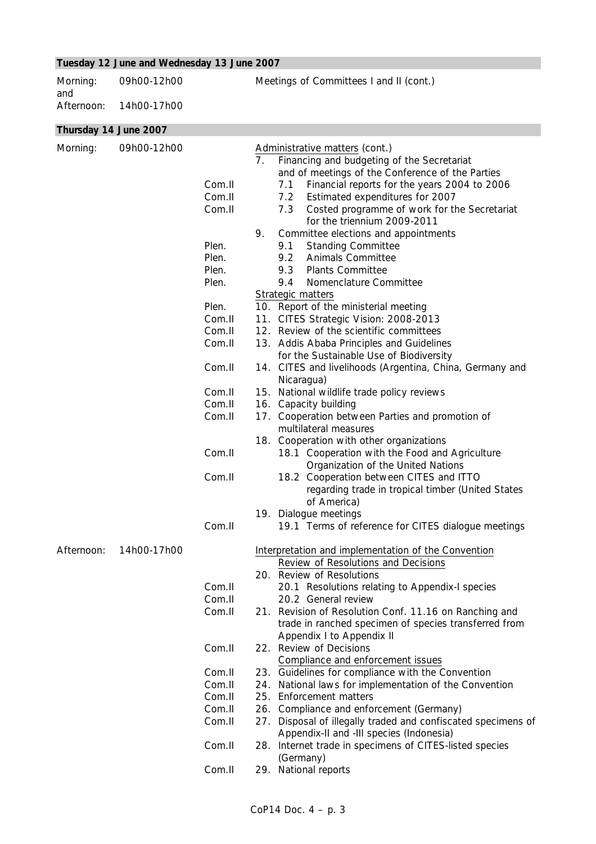# **Tuesday 12 June and Wednesday 13 June 2007**

| Morning:<br>and | 09h00-12h00           |        | Meetings of Committees I and II (cont.)                                                             |
|-----------------|-----------------------|--------|-----------------------------------------------------------------------------------------------------|
| Afternoon:      | 14h00-17h00           |        |                                                                                                     |
|                 | Thursday 14 June 2007 |        |                                                                                                     |
|                 |                       |        |                                                                                                     |
| Morning:        | 09h00-12h00           |        | Administrative matters (cont.)<br>7 <sub>1</sub><br>Financing and budgeting of the Secretariat      |
|                 |                       |        | and of meetings of the Conference of the Parties                                                    |
|                 |                       | Com.II | Financial reports for the years 2004 to 2006<br>7.1                                                 |
|                 |                       | Com.II | Estimated expenditures for 2007<br>7.2                                                              |
|                 |                       | Com.II | 7.3<br>Costed programme of work for the Secretariat                                                 |
|                 |                       |        | for the triennium 2009-2011                                                                         |
|                 |                       |        | 9.<br>Committee elections and appointments                                                          |
|                 |                       | Plen.  | <b>Standing Committee</b><br>9.1                                                                    |
|                 |                       | Plen.  | 9.2<br><b>Animals Committee</b>                                                                     |
|                 |                       | Plen.  | 9.3<br><b>Plants Committee</b>                                                                      |
|                 |                       | Plen.  | 9.4<br>Nomenclature Committee                                                                       |
|                 |                       |        | Strategic matters                                                                                   |
|                 |                       | Plen.  | 10. Report of the ministerial meeting                                                               |
|                 |                       | Com.II | 11. CITES Strategic Vision: 2008-2013                                                               |
|                 |                       | Com.II | 12. Review of the scientific committees                                                             |
|                 |                       | Com.II | 13. Addis Ababa Principles and Guidelines                                                           |
|                 |                       | Com.II | for the Sustainable Use of Biodiversity<br>14. CITES and livelihoods (Argentina, China, Germany and |
|                 |                       |        | Nicaragua)                                                                                          |
|                 |                       | Com.II | 15. National wildlife trade policy reviews                                                          |
|                 |                       | Com.II | 16. Capacity building                                                                               |
|                 |                       | Com.II | 17. Cooperation between Parties and promotion of                                                    |
|                 |                       |        | multilateral measures                                                                               |
|                 |                       |        | 18. Cooperation with other organizations                                                            |
|                 |                       | Com.II | 18.1 Cooperation with the Food and Agriculture                                                      |
|                 |                       |        | Organization of the United Nations                                                                  |
|                 |                       | Com.II | 18.2 Cooperation between CITES and ITTO                                                             |
|                 |                       |        | regarding trade in tropical timber (United States                                                   |
|                 |                       |        | of America)                                                                                         |
|                 |                       |        | 19.<br>Dialogue meetings                                                                            |
|                 |                       | Com.II | 19.1 Terms of reference for CITES dialogue meetings                                                 |
| Afternoon:      | 14h00-17h00           |        | Interpretation and implementation of the Convention                                                 |
|                 |                       |        | Review of Resolutions and Decisions                                                                 |
|                 |                       |        | 20. Review of Resolutions                                                                           |
|                 |                       | Com.II | 20.1 Resolutions relating to Appendix-I species                                                     |
|                 |                       | Com.II | 20.2 General review                                                                                 |
|                 |                       | Com.II | 21. Revision of Resolution Conf. 11.16 on Ranching and                                              |
|                 |                       |        | trade in ranched specimen of species transferred from                                               |
|                 |                       |        | Appendix I to Appendix II                                                                           |
|                 |                       | Com.II | 22. Review of Decisions                                                                             |
|                 |                       |        | Compliance and enforcement issues                                                                   |
|                 |                       | Com.II | 23. Guidelines for compliance with the Convention                                                   |
|                 |                       | Com.II | 24. National laws for implementation of the Convention                                              |
|                 |                       | Com.II | 25. Enforcement matters                                                                             |
|                 |                       | Com.II | 26. Compliance and enforcement (Germany)                                                            |
|                 |                       | Com.II | 27. Disposal of illegally traded and confiscated specimens of                                       |
|                 |                       |        | Appendix-II and -III species (Indonesia)                                                            |
|                 |                       | Com.II | 28. Internet trade in specimens of CITES-listed species                                             |
|                 |                       |        | (Germany)                                                                                           |
|                 |                       | Com.II | 29. National reports                                                                                |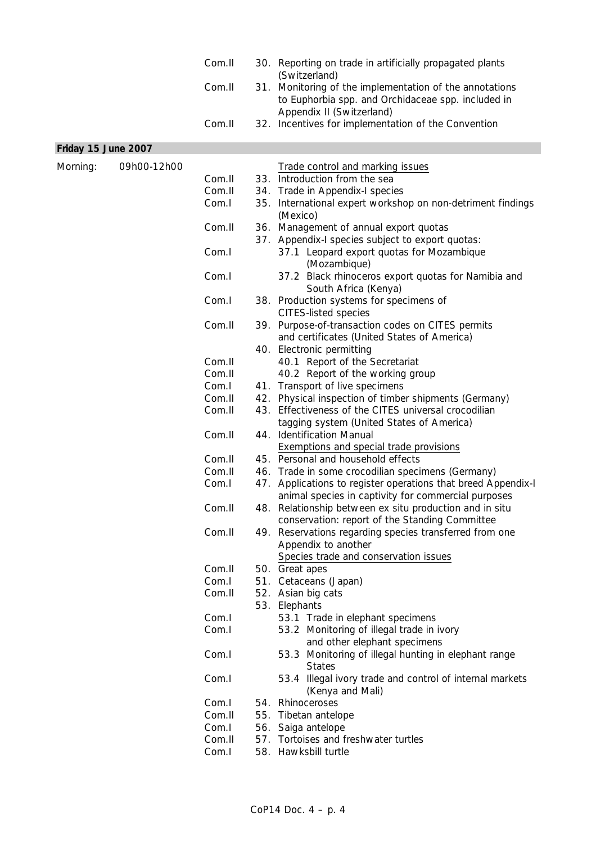|                     |             | Com.II | 30. Reporting on trade in artificially propagated plants<br>(Switzerland)                                                                  |
|---------------------|-------------|--------|--------------------------------------------------------------------------------------------------------------------------------------------|
|                     |             | Com.II | 31. Monitoring of the implementation of the annotations<br>to Euphorbia spp. and Orchidaceae spp. included in<br>Appendix II (Switzerland) |
|                     |             | Com.II | 32. Incentives for implementation of the Convention                                                                                        |
| Friday 15 June 2007 |             |        |                                                                                                                                            |
| Morning:            | 09h00-12h00 |        | Trade control and marking issues                                                                                                           |
|                     |             | Com.II | 33. Introduction from the sea                                                                                                              |
|                     |             | Com.II | 34. Trade in Appendix-I species                                                                                                            |
|                     |             | Com.I  | 35. International expert workshop on non-detriment findings<br>(Mexico)                                                                    |
|                     |             | Com.II | 36. Management of annual export quotas<br>37. Appendix-I species subject to export quotas:                                                 |
|                     |             | Com.I  | 37.1 Leopard export quotas for Mozambique<br>(Mozambique)                                                                                  |
|                     |             | Com.I  | 37.2 Black rhinoceros export quotas for Namibia and<br>South Africa (Kenya)                                                                |
|                     |             | Com.I  | 38. Production systems for specimens of<br><b>CITES-listed species</b>                                                                     |
|                     |             | Com.II | 39. Purpose-of-transaction codes on CITES permits<br>and certificates (United States of America)                                           |
|                     |             |        | 40. Electronic permitting                                                                                                                  |
|                     |             | Com.II | 40.1 Report of the Secretariat                                                                                                             |
|                     |             | Com.II | 40.2 Report of the working group                                                                                                           |
|                     |             | Com.I  | 41. Transport of live specimens                                                                                                            |
|                     |             | Com.II | 42. Physical inspection of timber shipments (Germany)                                                                                      |
|                     |             | Com.II | 43. Effectiveness of the CITES universal crocodilian                                                                                       |
|                     |             |        | tagging system (United States of America)                                                                                                  |
|                     |             | Com.II | 44. Identification Manual                                                                                                                  |
|                     |             |        | <b>Exemptions and special trade provisions</b>                                                                                             |
|                     |             | Com.II | 45. Personal and household effects                                                                                                         |
|                     |             | Com.II | 46. Trade in some crocodilian specimens (Germany)                                                                                          |
|                     |             | Com.I  | 47. Applications to register operations that breed Appendix-I<br>animal species in captivity for commercial purposes                       |
|                     |             | Com.II | 48. Relationship between ex situ production and in situ<br>conservation: report of the Standing Committee                                  |
|                     |             | Com.II | 49. Reservations regarding species transferred from one<br>Appendix to another                                                             |
|                     |             | Com.II | Species trade and conservation issues                                                                                                      |
|                     |             | Com.I  | 50. Great apes                                                                                                                             |
|                     |             | Com.II | 51. Cetaceans (Japan)<br>52. Asian big cats                                                                                                |
|                     |             |        | 53. Elephants                                                                                                                              |
|                     |             | Com.I  | 53.1 Trade in elephant specimens                                                                                                           |
|                     |             | Com.I  | 53.2 Monitoring of illegal trade in ivory                                                                                                  |
|                     |             | Com.I  | and other elephant specimens<br>53.3 Monitoring of illegal hunting in elephant range                                                       |
|                     |             | Com.I  | <b>States</b><br>53.4 Illegal ivory trade and control of internal markets                                                                  |
|                     |             | Com.I  | (Kenya and Mali)<br>54. Rhinoceroses                                                                                                       |
|                     |             | Com.II | 55. Tibetan antelope                                                                                                                       |
|                     |             | Com.I  | 56. Saiga antelope                                                                                                                         |
|                     |             | Com.II | 57. Tortoises and freshwater turtles                                                                                                       |
|                     |             | Com.I  | 58. Hawksbill turtle                                                                                                                       |
|                     |             |        |                                                                                                                                            |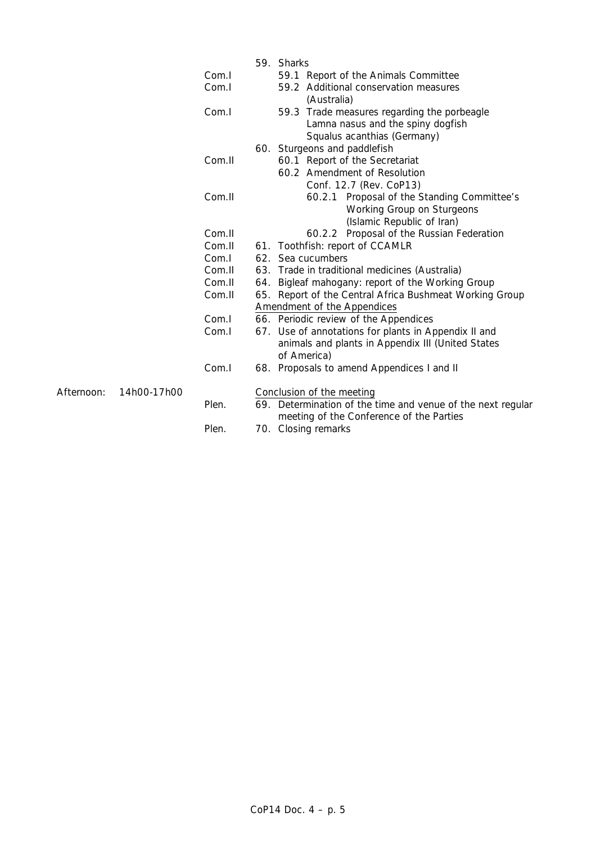|            |             |        | 59. Sharks                                                  |
|------------|-------------|--------|-------------------------------------------------------------|
|            |             | Com.I  | 59.1 Report of the Animals Committee                        |
|            |             | Com.I  | 59.2 Additional conservation measures                       |
|            |             |        | (Australia)                                                 |
|            |             | Com.I  | 59.3 Trade measures regarding the porbeagle                 |
|            |             |        | Lamna nasus and the spiny dogfish                           |
|            |             |        | Squalus acanthias (Germany)                                 |
|            |             |        | 60. Sturgeons and paddlefish                                |
|            |             | Com.II | 60.1 Report of the Secretariat                              |
|            |             |        | 60.2 Amendment of Resolution                                |
|            |             |        | Conf. 12.7 (Rev. CoP13)                                     |
|            |             | Com.II | 60.2.1 Proposal of the Standing Committee's                 |
|            |             |        | Working Group on Sturgeons                                  |
|            |             |        | (Islamic Republic of Iran)                                  |
|            |             | Com.II | 60.2.2 Proposal of the Russian Federation                   |
|            |             | Com.II | 61. Toothfish: report of CCAMLR                             |
|            |             | Com.I  | 62. Sea cucumbers                                           |
|            |             | Com.II | 63. Trade in traditional medicines (Australia)              |
|            |             | Com.II | 64. Bigleaf mahogany: report of the Working Group           |
|            |             | Com.II | 65. Report of the Central Africa Bushmeat Working Group     |
|            |             |        | Amendment of the Appendices                                 |
|            |             | Com.I  | 66. Periodic review of the Appendices                       |
|            |             | Com.I  | 67. Use of annotations for plants in Appendix II and        |
|            |             |        | animals and plants in Appendix III (United States           |
|            |             |        | of America)                                                 |
|            |             | Com.I  | 68. Proposals to amend Appendices I and II                  |
| Afternoon: | 14h00-17h00 |        | Conclusion of the meeting                                   |
|            |             | Plen.  | 69. Determination of the time and venue of the next regular |
|            |             |        | meeting of the Conference of the Parties                    |
|            |             | Plen.  | 70. Closing remarks                                         |
|            |             |        |                                                             |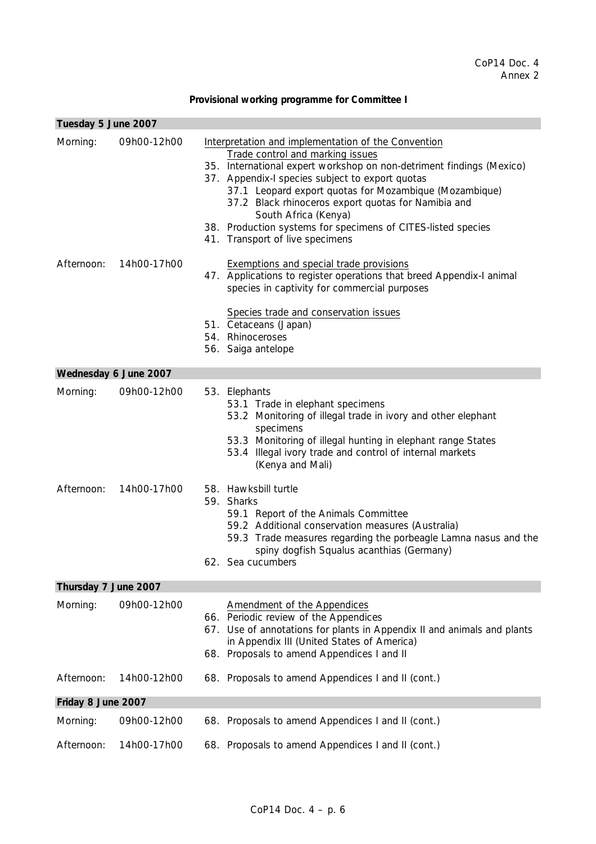## **Provisional working programme for Committee I**

| Tuesday 5 June 2007   |             |                                                                                                                                                                                                                                                                                                                                                                                                                                                                |
|-----------------------|-------------|----------------------------------------------------------------------------------------------------------------------------------------------------------------------------------------------------------------------------------------------------------------------------------------------------------------------------------------------------------------------------------------------------------------------------------------------------------------|
| Morning:              | 09h00-12h00 | Interpretation and implementation of the Convention<br>Trade control and marking issues<br>35. International expert workshop on non-detriment findings (Mexico)<br>37. Appendix-I species subject to export quotas<br>37.1 Leopard export quotas for Mozambique (Mozambique)<br>37.2 Black rhinoceros export quotas for Namibia and<br>South Africa (Kenya)<br>38. Production systems for specimens of CITES-listed species<br>41. Transport of live specimens |
| Afternoon:            | 14h00-17h00 | Exemptions and special trade provisions<br>47. Applications to register operations that breed Appendix-I animal<br>species in captivity for commercial purposes<br>Species trade and conservation issues<br>51. Cetaceans (Japan)<br>54. Rhinoceroses<br>56. Saiga antelope                                                                                                                                                                                    |
| Wednesday 6 June 2007 |             |                                                                                                                                                                                                                                                                                                                                                                                                                                                                |
| Morning:              | 09h00-12h00 | 53. Elephants<br>53.1 Trade in elephant specimens<br>53.2 Monitoring of illegal trade in ivory and other elephant<br>specimens<br>53.3 Monitoring of illegal hunting in elephant range States<br>53.4 Illegal ivory trade and control of internal markets<br>(Kenya and Mali)                                                                                                                                                                                  |
| Afternoon:            | 14h00-17h00 | 58. Hawksbill turtle<br>59. Sharks<br>59.1 Report of the Animals Committee<br>59.2 Additional conservation measures (Australia)<br>59.3 Trade measures regarding the porbeagle Lamna nasus and the<br>spiny dogfish Squalus acanthias (Germany)<br>62. Sea cucumbers                                                                                                                                                                                           |
| Thursday 7 June 2007  |             |                                                                                                                                                                                                                                                                                                                                                                                                                                                                |
| Morning:              | 09h00-12h00 | <b>Amendment of the Appendices</b><br>66. Periodic review of the Appendices<br>67. Use of annotations for plants in Appendix II and animals and plants<br>in Appendix III (United States of America)<br>68. Proposals to amend Appendices I and II                                                                                                                                                                                                             |
| Afternoon:            | 14h00-12h00 | 68. Proposals to amend Appendices I and II (cont.)                                                                                                                                                                                                                                                                                                                                                                                                             |
| Friday 8 June 2007    |             |                                                                                                                                                                                                                                                                                                                                                                                                                                                                |
| Morning:              | 09h00-12h00 | 68. Proposals to amend Appendices I and II (cont.)                                                                                                                                                                                                                                                                                                                                                                                                             |
| Afternoon:            | 14h00-17h00 | 68. Proposals to amend Appendices I and II (cont.)                                                                                                                                                                                                                                                                                                                                                                                                             |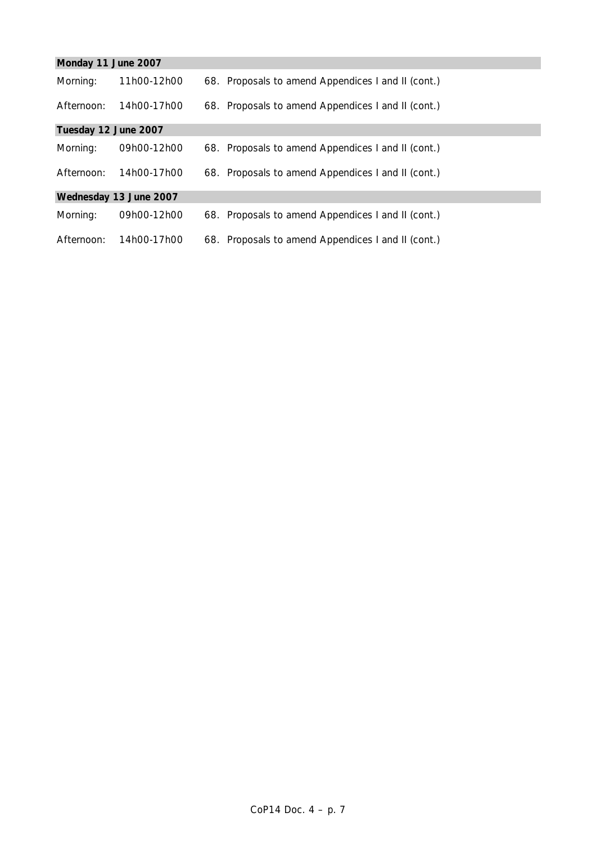| Monday 11 June 2007  |                        |                                                    |
|----------------------|------------------------|----------------------------------------------------|
| Morning:             | 11h00-12h00            | 68. Proposals to amend Appendices I and II (cont.) |
| Afternoon:           | 14h00-17h00            | 68. Proposals to amend Appendices I and II (cont.) |
| Tuesday 12 June 2007 |                        |                                                    |
| Morning:             | 09h00-12h00            | 68. Proposals to amend Appendices I and II (cont.) |
| Afternoon:           | 14h00-17h00            | 68. Proposals to amend Appendices I and II (cont.) |
|                      | Wednesday 13 June 2007 |                                                    |
| Morning:             | 09h00-12h00            | 68. Proposals to amend Appendices I and II (cont.) |
| Afternoon:           | 14h00-17h00            | 68. Proposals to amend Appendices I and II (cont.) |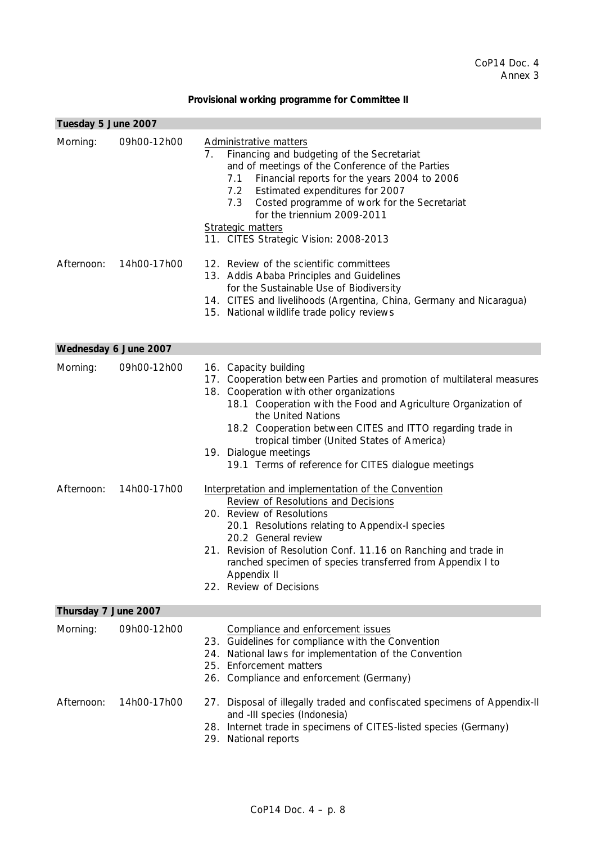### **Provisional working programme for Committee II**

| Tuesday 5 June 2007   |             |                                                                                                                                                                                                                                                                                                                                                                                                                                 |
|-----------------------|-------------|---------------------------------------------------------------------------------------------------------------------------------------------------------------------------------------------------------------------------------------------------------------------------------------------------------------------------------------------------------------------------------------------------------------------------------|
| Morning:              | 09h00-12h00 | Administrative matters<br>Financing and budgeting of the Secretariat<br>7.<br>and of meetings of the Conference of the Parties<br>Financial reports for the years 2004 to 2006<br>7.1<br>Estimated expenditures for 2007<br>7.2<br>Costed programme of work for the Secretariat<br>7.3<br>for the triennium 2009-2011<br>Strategic matters<br>11. CITES Strategic Vision: 2008-2013                                             |
| Afternoon:            | 14h00-17h00 | 12. Review of the scientific committees<br>13. Addis Ababa Principles and Guidelines<br>for the Sustainable Use of Biodiversity<br>14. CITES and livelihoods (Argentina, China, Germany and Nicaragua)<br>15. National wildlife trade policy reviews                                                                                                                                                                            |
| Wednesday 6 June 2007 |             |                                                                                                                                                                                                                                                                                                                                                                                                                                 |
| Morning:              | 09h00-12h00 | 16. Capacity building<br>17. Cooperation between Parties and promotion of multilateral measures<br>18. Cooperation with other organizations<br>18.1 Cooperation with the Food and Agriculture Organization of<br>the United Nations<br>18.2 Cooperation between CITES and ITTO regarding trade in<br>tropical timber (United States of America)<br>19. Dialogue meetings<br>19.1 Terms of reference for CITES dialogue meetings |
| Afternoon:            | 14h00-17h00 | Interpretation and implementation of the Convention<br>Review of Resolutions and Decisions<br>20. Review of Resolutions<br>20.1 Resolutions relating to Appendix-I species<br>20.2 General review<br>21. Revision of Resolution Conf. 11.16 on Ranching and trade in<br>ranched specimen of species transferred from Appendix I to<br>Appendix II<br>22. Review of Decisions                                                    |
| Thursday 7 June 2007  |             |                                                                                                                                                                                                                                                                                                                                                                                                                                 |
| Morning:              | 09h00-12h00 | Compliance and enforcement issues<br>23. Guidelines for compliance with the Convention<br>24. National laws for implementation of the Convention<br>25. Enforcement matters<br>26. Compliance and enforcement (Germany)                                                                                                                                                                                                         |
| Afternoon:            | 14h00-17h00 | 27. Disposal of illegally traded and confiscated specimens of Appendix-II<br>and -III species (Indonesia)<br>28. Internet trade in specimens of CITES-listed species (Germany)<br>29. National reports                                                                                                                                                                                                                          |